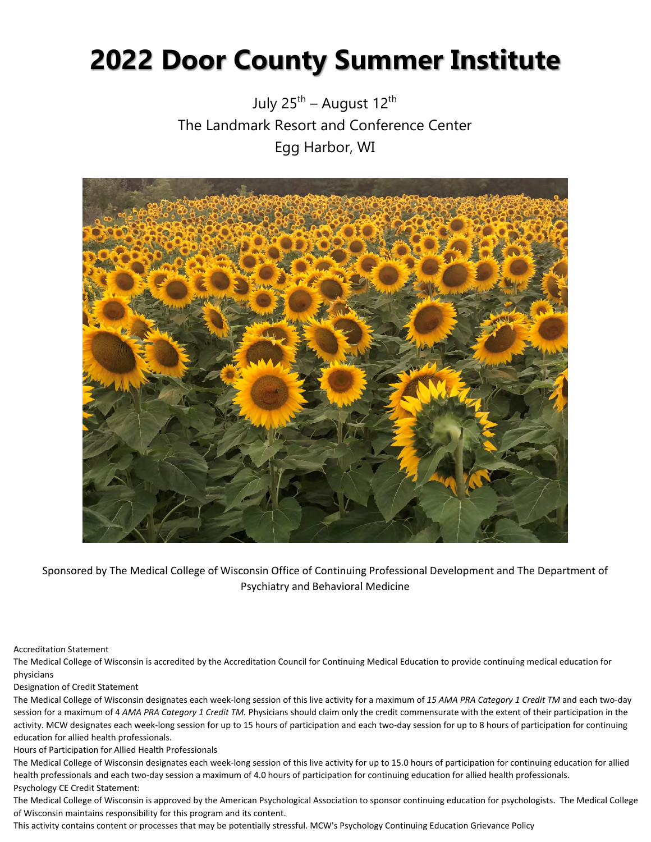# **2022 Door County Summer Institute**

July  $25^{th}$  – August  $12^{th}$ The Landmark Resort and Conference Center Egg Harbor, WI



Sponsored by The Medical College of Wisconsin Office of Continuing Professional Development and The Department of Psychiatry and Behavioral Medicine

#### Accreditation Statement

The Medical College of Wisconsin is accredited by the Accreditation Council for Continuing Medical Education to provide continuing medical education for physicians

#### Designation of Credit Statement

The Medical College of Wisconsin designates each week-long session of this live activity for a maximum of *15 AMA PRA Category 1 Credit TM* and each two-day session for a maximum of 4 AMA PRA Category 1 Credit TM. Physicians should claim only the credit commensurate with the extent of their participation in the activity. MCW designates each week-long session for up to 15 hours of participation and each two-day session for up to 8 hours of participation for continuing education for allied health professionals.

Hours of Participation for Allied Health Professionals

The Medical College of Wisconsin designates each week-long session of this live activity for up to 15.0 hours of participation for continuing education for allied health professionals and each two-day session a maximum of 4.0 hours of participation for continuing education for allied health professionals. Psychology CE Credit Statement:

The Medical College of Wisconsin is approved by the American Psychological Association to sponsor continuing education for psychologists. The Medical College of Wisconsin maintains responsibility for this program and its content.

This activity contains content or processes that may be potentially stressful. MCW's Psychology Continuing Education Grievance Policy